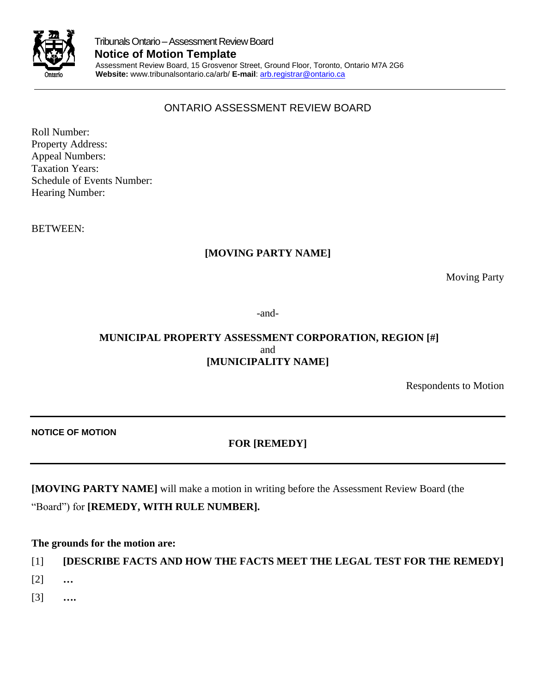

# ONTARIO ASSESSMENT REVIEW BOARD

Roll Number: Property Address: Appeal Numbers: Taxation Years: Schedule of Events Number: Hearing Number:

BETWEEN:

## **[MOVING PARTY NAME]**

Moving Party

-and-

## **MUNICIPAL PROPERTY ASSESSMENT CORPORATION, REGION [#]** and **[MUNICIPALITY NAME]**

Respondents to Motion

**NOTICE OF MOTION** 

# **FOR [REMEDY]**

**[MOVING PARTY NAME]** will make a motion in writing before the Assessment Review Board (the

"Board") for **[REMEDY, WITH RULE NUMBER].**

### **The grounds for the motion are:**

[1] **[DESCRIBE FACTS AND HOW THE FACTS MEET THE LEGAL TEST FOR THE REMEDY]**

- [2] **…**
- [3] **….**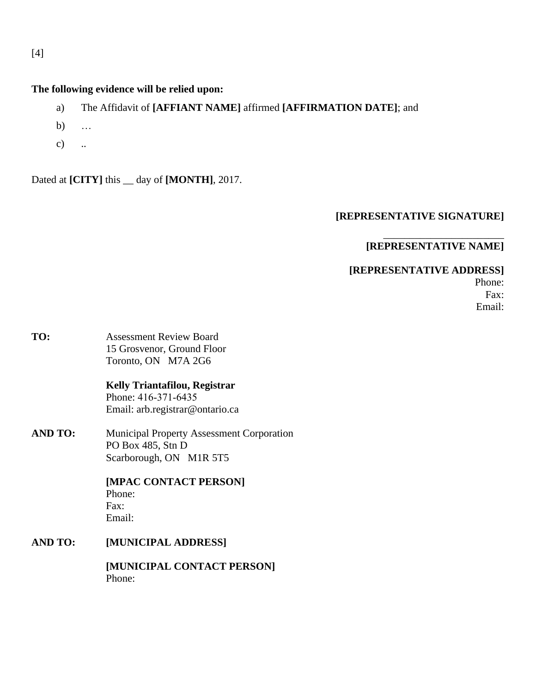# [4]

### **The following evidence will be relied upon:**

- a) The Affidavit of **[AFFIANT NAME]** affirmed **[AFFIRMATION DATE]**; and
- b) …
- c) ..

Dated at **[CITY]** this \_\_ day of **[MONTH]**, 2017.

### **[REPRESENTATIVE SIGNATURE]**

## **[REPRESENTATIVE NAME]**

\_\_\_\_\_\_\_\_\_\_\_\_\_\_\_\_\_\_\_\_\_\_\_

### **[REPRESENTATIVE ADDRESS]**

Phone: Fax: Email:

**TO:** Assessment Review Board 15 Grosvenor, Ground Floor Toronto, ON M7A 2G6

> **Kelly Triantafilou, Registrar**  Phone: 416-371-6435 Email: arb.registrar@ontario.ca

**AND TO:** Municipal Property Assessment Corporation PO Box 485, Stn D Scarborough, ON M1R 5T5

> **[MPAC CONTACT PERSON]**  Phone: Fax: Email:

**AND TO: [MUNICIPAL ADDRESS]** 

> **[MUNICIPAL CONTACT PERSON]**  Phone: